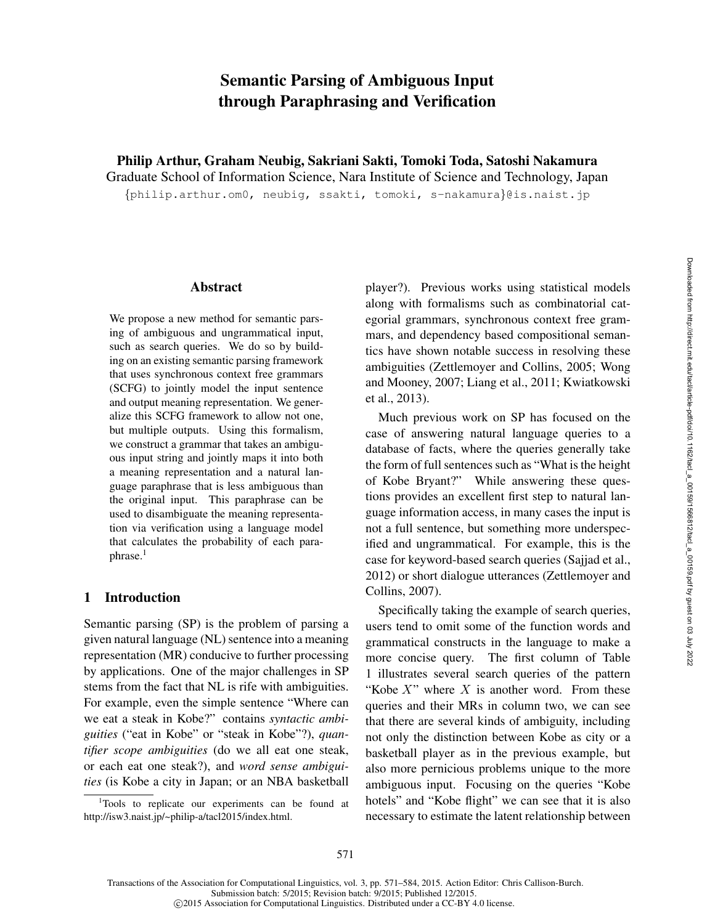# Semantic Parsing of Ambiguous Input through Paraphrasing and Verification

Philip Arthur, Graham Neubig, Sakriani Sakti, Tomoki Toda, Satoshi Nakamura

Graduate School of Information Science, Nara Institute of Science and Technology, Japan

{philip.arthur.om0, neubig, ssakti, tomoki, s-nakamura}@is.naist.jp

### Abstract

We propose a new method for semantic parsing of ambiguous and ungrammatical input, such as search queries. We do so by building on an existing semantic parsing framework that uses synchronous context free grammars (SCFG) to jointly model the input sentence and output meaning representation. We generalize this SCFG framework to allow not one, but multiple outputs. Using this formalism, we construct a grammar that takes an ambiguous input string and jointly maps it into both a meaning representation and a natural language paraphrase that is less ambiguous than the original input. This paraphrase can be used to disambiguate the meaning representation via verification using a language model that calculates the probability of each paraphrase.<sup>1</sup>

## 1 Introduction

Semantic parsing (SP) is the problem of parsing a given natural language (NL) sentence into a meaning representation (MR) conducive to further processing by applications. One of the major challenges in SP stems from the fact that NL is rife with ambiguities. For example, even the simple sentence "Where can we eat a steak in Kobe?" contains *syntactic ambiguities* ("eat in Kobe" or "steak in Kobe"?), *quantifier scope ambiguities* (do we all eat one steak, or each eat one steak?), and *word sense ambiguities* (is Kobe a city in Japan; or an NBA basketball

player?). Previous works using statistical models along with formalisms such as combinatorial categorial grammars, synchronous context free grammars, and dependency based compositional semantics have shown notable success in resolving these ambiguities (Zettlemoyer and Collins, 2005; Wong and Mooney, 2007; Liang et al., 2011; Kwiatkowski et al., 2013).

Much previous work on SP has focused on the case of answering natural language queries to a database of facts, where the queries generally take the form of full sentences such as "What is the height of Kobe Bryant?" While answering these questions provides an excellent first step to natural language information access, in many cases the input is not a full sentence, but something more underspecified and ungrammatical. For example, this is the case for keyword-based search queries (Sajjad et al., 2012) or short dialogue utterances (Zettlemoyer and Collins, 2007).

Specifically taking the example of search queries, users tend to omit some of the function words and grammatical constructs in the language to make a more concise query. The first column of Table 1 illustrates several search queries of the pattern "Kobe  $X$ " where  $X$  is another word. From these queries and their MRs in column two, we can see that there are several kinds of ambiguity, including not only the distinction between Kobe as city or a basketball player as in the previous example, but also more pernicious problems unique to the more ambiguous input. Focusing on the queries "Kobe hotels" and "Kobe flight" we can see that it is also necessary to estimate the latent relationship between

<sup>&</sup>lt;sup>1</sup>Tools to replicate our experiments can be found at http://isw3.naist.jp/~philip-a/tacl2015/index.html.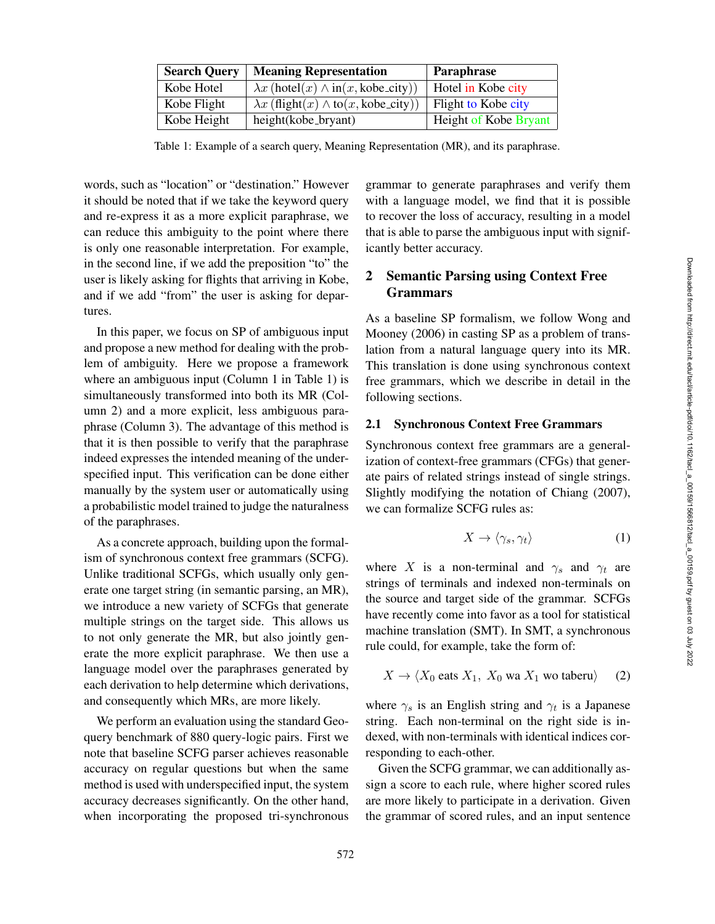| <b>Search Query</b> | <b>Meaning Representation</b>                     | Paraphrase            |
|---------------------|---------------------------------------------------|-----------------------|
| Kobe Hotel          | $\lambda x$ (hotel(x) $\wedge$ in(x, kobe_city))  | Hotel in Kobe city    |
| Kobe Flight         | $\lambda x$ (flight(x) $\wedge$ to(x, kobe_city)) | Flight to Kobe city   |
| Kobe Height         | height(kobe_bryant)                               | Height of Kobe Bryant |

Table 1: Example of a search query, Meaning Representation (MR), and its paraphrase.

words, such as "location" or "destination." However it should be noted that if we take the keyword query and re-express it as a more explicit paraphrase, we can reduce this ambiguity to the point where there is only one reasonable interpretation. For example, in the second line, if we add the preposition "to" the user is likely asking for flights that arriving in Kobe, and if we add "from" the user is asking for departures.

In this paper, we focus on SP of ambiguous input and propose a new method for dealing with the problem of ambiguity. Here we propose a framework where an ambiguous input (Column 1 in Table 1) is simultaneously transformed into both its MR (Column 2) and a more explicit, less ambiguous paraphrase (Column 3). The advantage of this method is that it is then possible to verify that the paraphrase indeed expresses the intended meaning of the underspecified input. This verification can be done either manually by the system user or automatically using a probabilistic model trained to judge the naturalness of the paraphrases.

As a concrete approach, building upon the formalism of synchronous context free grammars (SCFG). Unlike traditional SCFGs, which usually only generate one target string (in semantic parsing, an MR), we introduce a new variety of SCFGs that generate multiple strings on the target side. This allows us to not only generate the MR, but also jointly generate the more explicit paraphrase. We then use a language model over the paraphrases generated by each derivation to help determine which derivations, and consequently which MRs, are more likely.

We perform an evaluation using the standard Geoquery benchmark of 880 query-logic pairs. First we note that baseline SCFG parser achieves reasonable accuracy on regular questions but when the same method is used with underspecified input, the system accuracy decreases significantly. On the other hand, when incorporating the proposed tri-synchronous

grammar to generate paraphrases and verify them with a language model, we find that it is possible to recover the loss of accuracy, resulting in a model that is able to parse the ambiguous input with significantly better accuracy.

## 2 Semantic Parsing using Context Free Grammars

As a baseline SP formalism, we follow Wong and Mooney (2006) in casting SP as a problem of translation from a natural language query into its MR. This translation is done using synchronous context free grammars, which we describe in detail in the following sections.

#### 2.1 Synchronous Context Free Grammars

Synchronous context free grammars are a generalization of context-free grammars (CFGs) that generate pairs of related strings instead of single strings. Slightly modifying the notation of Chiang (2007), we can formalize SCFG rules as:

$$
X \to \langle \gamma_s, \gamma_t \rangle \tag{1}
$$

where X is a non-terminal and  $\gamma_s$  and  $\gamma_t$  are strings of terminals and indexed non-terminals on the source and target side of the grammar. SCFGs have recently come into favor as a tool for statistical machine translation (SMT). In SMT, a synchronous rule could, for example, take the form of:

$$
X \to \langle X_0 \text{ eats } X_1, X_0 \text{ wa } X_1 \text{ wo taberu} \rangle \qquad (2)
$$

where  $\gamma_s$  is an English string and  $\gamma_t$  is a Japanese string. Each non-terminal on the right side is indexed, with non-terminals with identical indices corresponding to each-other.

Given the SCFG grammar, we can additionally assign a score to each rule, where higher scored rules are more likely to participate in a derivation. Given the grammar of scored rules, and an input sentence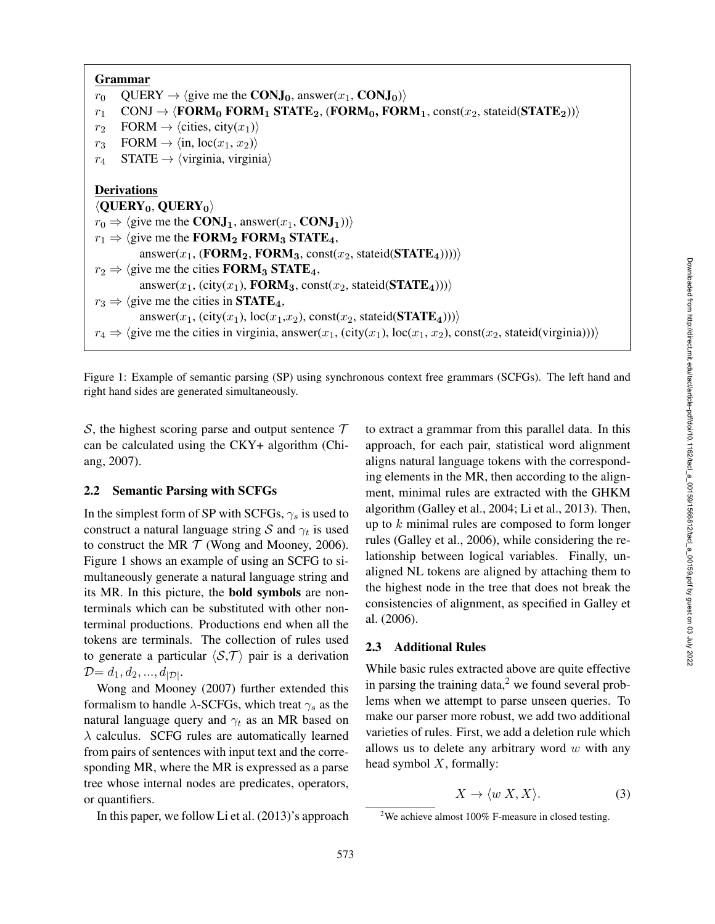Grammar  $r_0$  QUERY  $\rightarrow$   $\langle$  give me the **CONJ**<sub>0</sub>, answer( $x_1$ , **CONJ**<sub>0</sub>) $\rangle$  $r_1$ 1 CONJ  $\rightarrow$   $\langle$  FORM<sub>0</sub> FORM<sub>1</sub> STATE<sub>2</sub>, (FORM<sub>0</sub>, FORM<sub>1</sub>, const(x<sub>2</sub>, stateid(STATE<sub>2</sub>)))  $r<sub>2</sub>$ 2 FORM  $\rightarrow \langle \text{cities, city}(x_1) \rangle$  $r_3$ 3 FORM  $\rightarrow \langle \text{in}, \text{loc}(x_1, x_2) \rangle$  $r_4$ 4 STATE  $\rightarrow \langle$ virginia, virginia $\rangle$ Derivations  $\langle \text{QUERY}_0, \text{QUERY}_0 \rangle$  $r_0 \Rightarrow \langle$  give me the **CONJ**<sub>1</sub>, answer( $x_1$ , **CONJ**<sub>1</sub>)) $\rangle$  $r_1 \Rightarrow \langle$  give me the **FORM**<sub>2</sub> **FORM**<sub>3</sub> **STATE**<sub>4</sub>, answer( $x_1$ , (**FORM**<sub>2</sub>, **FORM**<sub>3</sub>, const( $x_2$ , stateid(**STATE**<sub>4</sub>)))))  $r_2 \Rightarrow \langle$  give me the cities **FORM**<sub>3</sub> **STATE**<sub>4</sub>, answer( $x_1$ , (city( $x_1$ ), **FORM**<sub>3</sub>, const( $x_2$ , stateid(**STATE**<sub>4</sub>))))  $r_3 \Rightarrow \langle$  give me the cities in **STATE**<sub>4</sub>,  $\langle \text{answer}(x_1, (\text{city}(x_1), \text{loc}(x_1, x_2), \text{const}(x_2, \text{stated}(\textbf{STATE}_4))) \rangle$  $r_4 \Rightarrow \langle$  give me the cities in virginia, answer( $x_1$ , (city( $x_1$ ), loc( $x_1$ ,  $x_2$ ), const( $x_2$ , stateid(virginia))))

Figure 1: Example of semantic parsing (SP) using synchronous context free grammars (SCFGs). The left hand and right hand sides are generated simultaneously.

 $S$ , the highest scoring parse and output sentence  $T$ can be calculated using the CKY+ algorithm (Chiang, 2007).

#### 2.2 Semantic Parsing with SCFGs

In the simplest form of SP with SCFGs,  $\gamma_s$  is used to construct a natural language string S and  $\gamma_t$  is used to construct the MR  $T$  (Wong and Mooney, 2006). Figure 1 shows an example of using an SCFG to simultaneously generate a natural language string and its MR. In this picture, the bold symbols are nonterminals which can be substituted with other nonterminal productions. Productions end when all the tokens are terminals. The collection of rules used to generate a particular  $\langle S, \mathcal{T} \rangle$  pair is a derivation  $D = d_1, d_2, ..., d_{|\mathcal{D}|}.$ 

Wong and Mooney (2007) further extended this formalism to handle  $\lambda$ -SCFGs, which treat  $\gamma_s$  as the natural language query and  $\gamma_t$  as an MR based on  $\lambda$  calculus. SCFG rules are automatically learned from pairs of sentences with input text and the corresponding MR, where the MR is expressed as a parse tree whose internal nodes are predicates, operators, or quantifiers.

In this paper, we follow Li et al. (2013)'s approach

to extract a grammar from this parallel data. In this approach, for each pair, statistical word alignment aligns natural language tokens with the corresponding elements in the MR, then according to the alignment, minimal rules are extracted with the GHKM algorithm (Galley et al., 2004; Li et al., 2013). Then, up to  $k$  minimal rules are composed to form longer rules (Galley et al., 2006), while considering the relationship between logical variables. Finally, unaligned NL tokens are aligned by attaching them to the highest node in the tree that does not break the consistencies of alignment, as specified in Galley et al. (2006).

### 2.3 Additional Rules

While basic rules extracted above are quite effective in parsing the training data, $2$  we found several problems when we attempt to parse unseen queries. To make our parser more robust, we add two additional varieties of rules. First, we add a deletion rule which allows us to delete any arbitrary word  $w$  with any head symbol  $X$ , formally:

$$
X \to \langle w \, X, X \rangle. \tag{3}
$$

<sup>&</sup>lt;sup>2</sup>We achieve almost 100% F-measure in closed testing.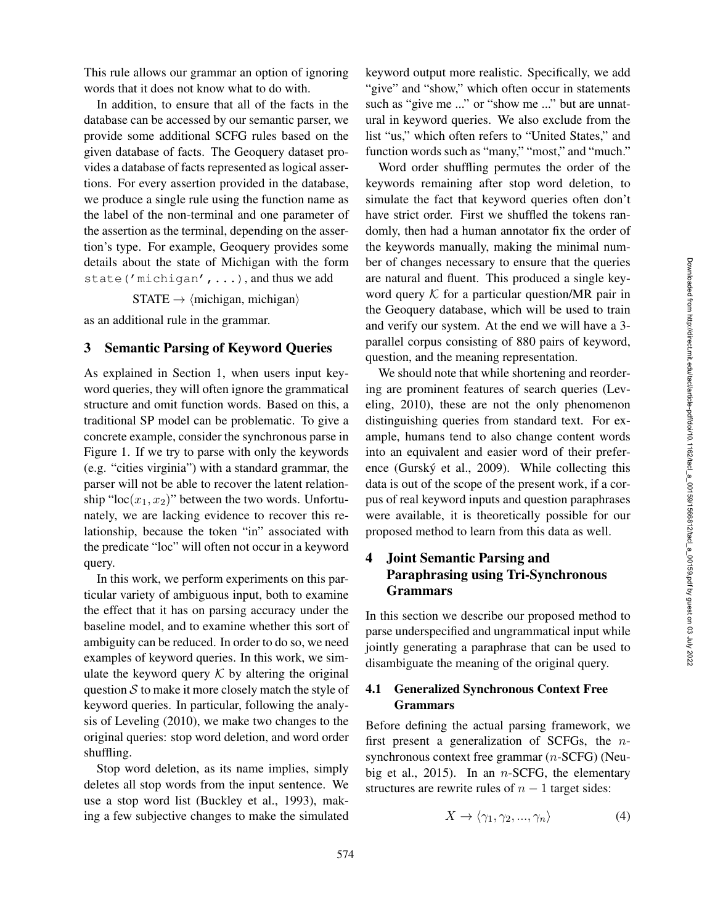This rule allows our grammar an option of ignoring words that it does not know what to do with.

In addition, to ensure that all of the facts in the database can be accessed by our semantic parser, we provide some additional SCFG rules based on the given database of facts. The Geoquery dataset provides a database of facts represented as logical assertions. For every assertion provided in the database, we produce a single rule using the function name as the label of the non-terminal and one parameter of the assertion as the terminal, depending on the assertion's type. For example, Geoquery provides some details about the state of Michigan with the form state('michigan',...), and thus we add

 $STATE \rightarrow \langle \text{michigan}, \text{michigan} \rangle$ 

as an additional rule in the grammar.

#### 3 Semantic Parsing of Keyword Queries

As explained in Section 1, when users input keyword queries, they will often ignore the grammatical structure and omit function words. Based on this, a traditional SP model can be problematic. To give a concrete example, consider the synchronous parse in Figure 1. If we try to parse with only the keywords (e.g. "cities virginia") with a standard grammar, the parser will not be able to recover the latent relationship "loc $(x_1, x_2)$ " between the two words. Unfortunately, we are lacking evidence to recover this relationship, because the token "in" associated with the predicate "loc" will often not occur in a keyword query.

In this work, we perform experiments on this particular variety of ambiguous input, both to examine the effect that it has on parsing accuracy under the baseline model, and to examine whether this sort of ambiguity can be reduced. In order to do so, we need examples of keyword queries. In this work, we simulate the keyword query  $K$  by altering the original question  $S$  to make it more closely match the style of keyword queries. In particular, following the analysis of Leveling (2010), we make two changes to the original queries: stop word deletion, and word order shuffling.

Stop word deletion, as its name implies, simply deletes all stop words from the input sentence. We use a stop word list (Buckley et al., 1993), making a few subjective changes to make the simulated

keyword output more realistic. Specifically, we add "give" and "show," which often occur in statements such as "give me ..." or "show me ..." but are unnatural in keyword queries. We also exclude from the list "us," which often refers to "United States," and function words such as "many," "most," and "much."

Word order shuffling permutes the order of the keywords remaining after stop word deletion, to simulate the fact that keyword queries often don't have strict order. First we shuffled the tokens randomly, then had a human annotator fix the order of the keywords manually, making the minimal number of changes necessary to ensure that the queries are natural and fluent. This produced a single keyword query  $K$  for a particular question/MR pair in the Geoquery database, which will be used to train and verify our system. At the end we will have a 3 parallel corpus consisting of 880 pairs of keyword, question, and the meaning representation.

We should note that while shortening and reordering are prominent features of search queries (Leveling, 2010), these are not the only phenomenon distinguishing queries from standard text. For example, humans tend to also change content words into an equivalent and easier word of their preference (Gurský et al., 2009). While collecting this data is out of the scope of the present work, if a corpus of real keyword inputs and question paraphrases were available, it is theoretically possible for our proposed method to learn from this data as well.

## 4 Joint Semantic Parsing and Paraphrasing using Tri-Synchronous Grammars

In this section we describe our proposed method to parse underspecified and ungrammatical input while jointly generating a paraphrase that can be used to disambiguate the meaning of the original query.

## 4.1 Generalized Synchronous Context Free Grammars

Before defining the actual parsing framework, we first present a generalization of SCFGs, the  $n$ synchronous context free grammar (*n*-SCFG) (Neubig et al., 2015). In an  $n$ -SCFG, the elementary structures are rewrite rules of  $n-1$  target sides:

$$
X \to \langle \gamma_1, \gamma_2, ..., \gamma_n \rangle \tag{4}
$$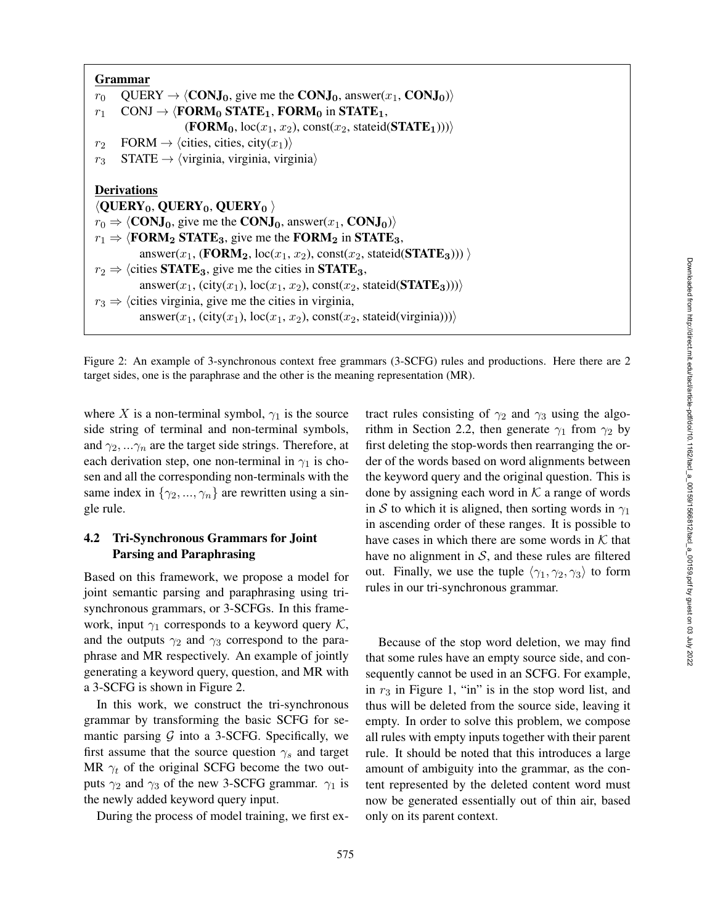|                | Grammar                                                                                                                                                                                                                                                                                                                                         |
|----------------|-------------------------------------------------------------------------------------------------------------------------------------------------------------------------------------------------------------------------------------------------------------------------------------------------------------------------------------------------|
| $r_0$          | $QUERV \rightarrow \langle CONJ_0,$ give me the CONJ <sub>0</sub> , answer(x <sub>1</sub> , CONJ <sub>0</sub> ))                                                                                                                                                                                                                                |
| $r_1$          | CONJ $\rightarrow$ $\langle$ FORM <sub>0</sub> STATE <sub>1</sub> , FORM <sub>0</sub> in STATE <sub>1</sub> ,                                                                                                                                                                                                                                   |
|                | $(\textbf{FORM}_0, \text{loc}(x_1, x_2), \text{const}(x_2, \text{stateid}(\textbf{STATE}_1)))$                                                                                                                                                                                                                                                  |
| r <sub>2</sub> | FORM $\rightarrow$ (cities, cities, city(x <sub>1</sub> ))                                                                                                                                                                                                                                                                                      |
| $r_3$          | $STATE \rightarrow \langle \text{virginia}, \text{virginia}, \text{virginia} \rangle$                                                                                                                                                                                                                                                           |
|                | <b>Derivations</b><br>$\langle \text{QUERY}_0, \text{QUERY}_0, \text{QUERY}_0 \rangle$<br>$r_0 \Rightarrow \langle \text{CONJ}_0, \text{ give me the CONJ}_0, \text{answer}(x_1, \text{CONJ}_0) \rangle$<br>$r_1 \Rightarrow$ <b>(FORM<sub>2</sub> STATE</b> <sub>3</sub> , give me the <b>FORM</b> <sub>2</sub> in <b>STATE</b> <sub>3</sub> , |
|                | answer(x <sub>1</sub> , (FORM <sub>2</sub> , loc(x <sub>1</sub> , x <sub>2</sub> ), const(x <sub>2</sub> , stateid(STATE <sub>3</sub> ))) $\rangle$                                                                                                                                                                                             |
|                | $r_2 \Rightarrow$ (cities <b>STATE</b> <sub>3</sub> , give me the cities in <b>STATE</b> <sub>3</sub> ,                                                                                                                                                                                                                                         |
|                | answer(x <sub>1</sub> , (city(x <sub>1</sub> ), loc(x <sub>1</sub> , x <sub>2</sub> ), const(x <sub>2</sub> , stateid( <b>STATE</b> <sub>3</sub> ))))                                                                                                                                                                                           |
|                | $r_3 \Rightarrow$ (cities virginia, give me the cities in virginia,                                                                                                                                                                                                                                                                             |
|                | answer(x <sub>1</sub> , (city(x <sub>1</sub> ), loc(x <sub>1</sub> , x <sub>2</sub> ), const(x <sub>2</sub> , stateid(virginia))))                                                                                                                                                                                                              |

Figure 2: An example of 3-synchronous context free grammars (3-SCFG) rules and productions. Here there are 2 target sides, one is the paraphrase and the other is the meaning representation (MR).

where X is a non-terminal symbol,  $\gamma_1$  is the source side string of terminal and non-terminal symbols, and  $\gamma_2, \ldots, \gamma_n$  are the target side strings. Therefore, at each derivation step, one non-terminal in  $\gamma_1$  is chosen and all the corresponding non-terminals with the same index in  $\{\gamma_2, ..., \gamma_n\}$  are rewritten using a single rule.

## 4.2 Tri-Synchronous Grammars for Joint Parsing and Paraphrasing

Based on this framework, we propose a model for joint semantic parsing and paraphrasing using trisynchronous grammars, or 3-SCFGs. In this framework, input  $\gamma_1$  corresponds to a keyword query K, and the outputs  $\gamma_2$  and  $\gamma_3$  correspond to the paraphrase and MR respectively. An example of jointly generating a keyword query, question, and MR with a 3-SCFG is shown in Figure 2.

In this work, we construct the tri-synchronous grammar by transforming the basic SCFG for semantic parsing  $G$  into a 3-SCFG. Specifically, we first assume that the source question  $\gamma_s$  and target MR  $\gamma_t$  of the original SCFG become the two outputs  $\gamma_2$  and  $\gamma_3$  of the new 3-SCFG grammar.  $\gamma_1$  is the newly added keyword query input.

During the process of model training, we first ex-

tract rules consisting of  $\gamma_2$  and  $\gamma_3$  using the algorithm in Section 2.2, then generate  $\gamma_1$  from  $\gamma_2$  by first deleting the stop-words then rearranging the order of the words based on word alignments between the keyword query and the original question. This is done by assigning each word in  $K$  a range of words in S to which it is aligned, then sorting words in  $\gamma_1$ in ascending order of these ranges. It is possible to have cases in which there are some words in  $K$  that have no alignment in  $S$ , and these rules are filtered out. Finally, we use the tuple  $\langle \gamma_1, \gamma_2, \gamma_3 \rangle$  to form rules in our tri-synchronous grammar.

Because of the stop word deletion, we may find that some rules have an empty source side, and consequently cannot be used in an SCFG. For example, in  $r_3$  in Figure 1, "in" is in the stop word list, and thus will be deleted from the source side, leaving it empty. In order to solve this problem, we compose all rules with empty inputs together with their parent rule. It should be noted that this introduces a large amount of ambiguity into the grammar, as the content represented by the deleted content word must now be generated essentially out of thin air, based only on its parent context.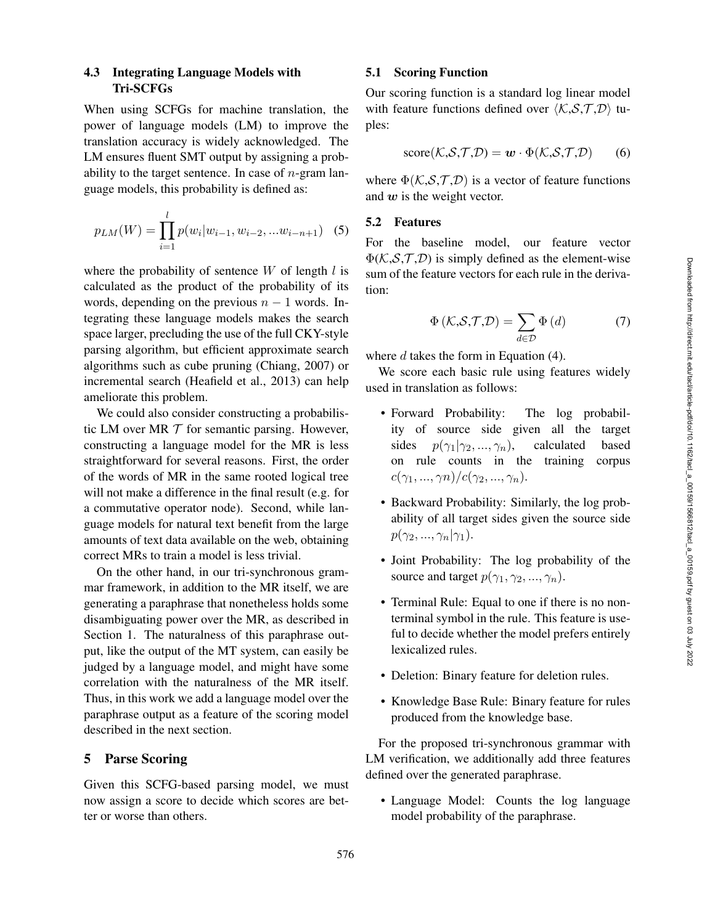## 4.3 Integrating Language Models with Tri-SCFGs

When using SCFGs for machine translation, the power of language models (LM) to improve the translation accuracy is widely acknowledged. The LM ensures fluent SMT output by assigning a probability to the target sentence. In case of  $n$ -gram language models, this probability is defined as:

$$
p_{LM}(W) = \prod_{i=1}^{l} p(w_i | w_{i-1}, w_{i-2}, ... w_{i-n+1})
$$
 (5)

where the probability of sentence  $W$  of length  $l$  is calculated as the product of the probability of its words, depending on the previous  $n-1$  words. Integrating these language models makes the search space larger, precluding the use of the full CKY-style parsing algorithm, but efficient approximate search algorithms such as cube pruning (Chiang, 2007) or incremental search (Heafield et al., 2013) can help ameliorate this problem.

We could also consider constructing a probabilistic LM over MR  $T$  for semantic parsing. However, constructing a language model for the MR is less straightforward for several reasons. First, the order of the words of MR in the same rooted logical tree will not make a difference in the final result (e.g. for a commutative operator node). Second, while language models for natural text benefit from the large amounts of text data available on the web, obtaining correct MRs to train a model is less trivial.

On the other hand, in our tri-synchronous grammar framework, in addition to the MR itself, we are generating a paraphrase that nonetheless holds some disambiguating power over the MR, as described in Section 1. The naturalness of this paraphrase output, like the output of the MT system, can easily be judged by a language model, and might have some correlation with the naturalness of the MR itself. Thus, in this work we add a language model over the paraphrase output as a feature of the scoring model described in the next section.

## 5 Parse Scoring

Given this SCFG-based parsing model, we must now assign a score to decide which scores are better or worse than others.

#### 5.1 Scoring Function

Our scoring function is a standard log linear model with feature functions defined over  $\langle K, S, T, D \rangle$  tuples:

$$
score(K, S, T, D) = w \cdot \Phi(K, S, T, D) \qquad (6)
$$

where  $\Phi(K, S, T, D)$  is a vector of feature functions and  $w$  is the weight vector.

#### 5.2 Features

For the baseline model, our feature vector  $\Phi(K, S, T, D)$  is simply defined as the element-wise sum of the feature vectors for each rule in the derivation:

$$
\Phi\left(\mathcal{K},\mathcal{S},\mathcal{T},\mathcal{D}\right)=\sum_{d\in\mathcal{D}}\Phi\left(d\right)\tag{7}
$$

where  $d$  takes the form in Equation (4).

We score each basic rule using features widely used in translation as follows:

- Forward Probability: The log probability of source side given all the target sides  $p(\gamma_1 | \gamma_2, ..., \gamma_n)$ ), calculated based on rule counts in the training corpus  $c(\gamma_1, ..., \gamma_n)/c(\gamma_2, ..., \gamma_n).$
- Backward Probability: Similarly, the log probability of all target sides given the source side  $p(\gamma_2, ..., \gamma_n | \gamma_1).$
- Joint Probability: The log probability of the source and target  $p(\gamma_1, \gamma_2, ..., \gamma_n)$ .
- Terminal Rule: Equal to one if there is no nonterminal symbol in the rule. This feature is useful to decide whether the model prefers entirely lexicalized rules.
- Deletion: Binary feature for deletion rules.
- Knowledge Base Rule: Binary feature for rules produced from the knowledge base.

For the proposed tri-synchronous grammar with LM verification, we additionally add three features defined over the generated paraphrase.

• Language Model: Counts the log language model probability of the paraphrase.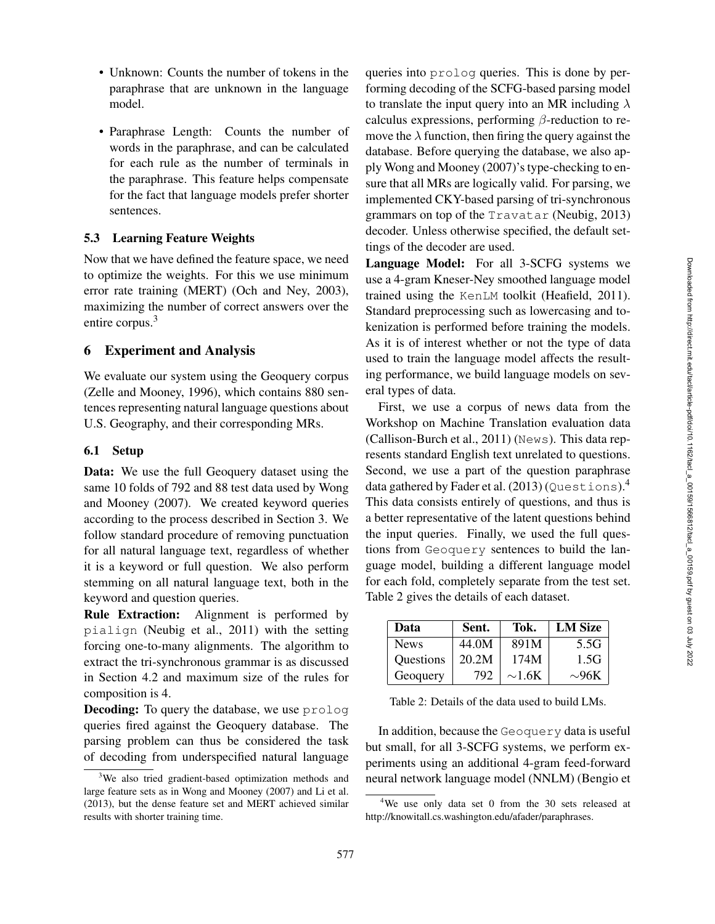- Unknown: Counts the number of tokens in the paraphrase that are unknown in the language model.
- Paraphrase Length: Counts the number of words in the paraphrase, and can be calculated for each rule as the number of terminals in the paraphrase. This feature helps compensate for the fact that language models prefer shorter sentences.

#### 5.3 Learning Feature Weights

Now that we have defined the feature space, we need to optimize the weights. For this we use minimum error rate training (MERT) (Och and Ney, 2003), maximizing the number of correct answers over the entire corpus. 3

#### 6 Experiment and Analysis

We evaluate our system using the Geoquery corpus (Zelle and Mooney, 1996), which contains 880 sentences representing natural language questions about U.S. Geography, and their corresponding MRs.

#### 6.1 Setup

Data: We use the full Geoquery dataset using the same 10 folds of 792 and 88 test data used by Wong and Mooney (2007). We created keyword queries according to the process described in Section 3. We follow standard procedure of removing punctuation for all natural language text, regardless of whether it is a keyword or full question. We also perform stemming on all natural language text, both in the keyword and question queries.

Rule Extraction: Alignment is performed by pialign (Neubig et al., 2011) with the setting forcing one-to-many alignments. The algorithm to extract the tri-synchronous grammar is as discussed in Section 4.2 and maximum size of the rules for composition is 4.

**Decoding:** To query the database, we use prolog queries fired against the Geoquery database. The parsing problem can thus be considered the task of decoding from underspecified natural language queries into prolog queries. This is done by performing decoding of the SCFG-based parsing model to translate the input query into an MR including  $\lambda$ calculus expressions, performing  $\beta$ -reduction to remove the  $\lambda$  function, then firing the query against the database. Before querying the database, we also apply Wong and Mooney (2007)'s type-checking to ensure that all MRs are logically valid. For parsing, we implemented CKY-based parsing of tri-synchronous grammars on top of the Travatar (Neubig, 2013) decoder. Unless otherwise specified, the default settings of the decoder are used.

Language Model: For all 3-SCFG systems we use a 4-gram Kneser-Ney smoothed language model trained using the KenLM toolkit (Heafield, 2011). Standard preprocessing such as lowercasing and tokenization is performed before training the models. As it is of interest whether or not the type of data used to train the language model affects the resulting performance, we build language models on several types of data.

First, we use a corpus of news data from the Workshop on Machine Translation evaluation data (Callison-Burch et al., 2011) (News). This data represents standard English text unrelated to questions. Second, we use a part of the question paraphrase data gathered by Fader et al.  $(2013)$  (Questions).<sup>4</sup> This data consists entirely of questions, and thus is a better representative of the latent questions behind the input queries. Finally, we used the full questions from Geoquery sentences to build the language model, building a different language model for each fold, completely separate from the test set. Table 2 gives the details of each dataset.

| Data        | Sent. | Tok.        | <b>LM</b> Size |
|-------------|-------|-------------|----------------|
| <b>News</b> | 44.0M | 891M        | 5.5G           |
| Questions   | 20.2M | 174M        | 1.5G           |
| Geoquery    | 792   | $\sim$ 1.6K | $\sim$ 96K     |

Table 2: Details of the data used to build LMs.

In addition, because the Geoquery data is useful but small, for all 3-SCFG systems, we perform experiments using an additional 4-gram feed-forward neural network language model (NNLM) (Bengio et

<sup>&</sup>lt;sup>3</sup>We also tried gradient-based optimization methods and large feature sets as in Wong and Mooney (2007) and Li et al. (2013), but the dense feature set and MERT achieved similar results with shorter training time.

<sup>4</sup>We use only data set 0 from the 30 sets released at http://knowitall.cs.washington.edu/afader/paraphrases.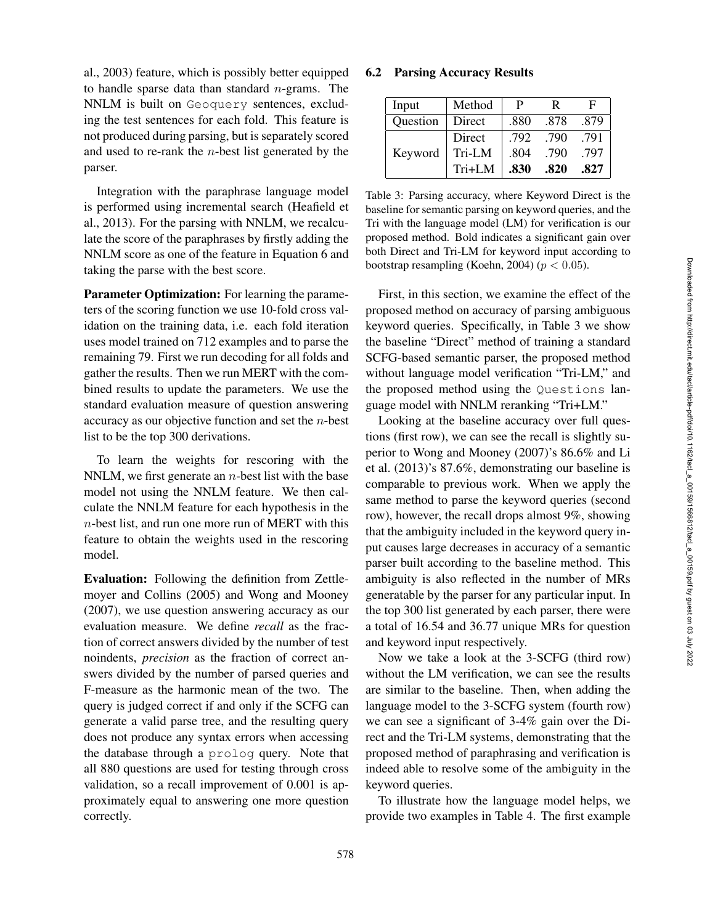al., 2003) feature, which is possibly better equipped to handle sparse data than standard  $n$ -grams. The NNLM is built on Geoquery sentences, excluding the test sentences for each fold. This feature is not produced during parsing, but is separately scored and used to re-rank the  $n$ -best list generated by the parser.

Integration with the paraphrase language model is performed using incremental search (Heafield et al., 2013). For the parsing with NNLM, we recalculate the score of the paraphrases by firstly adding the NNLM score as one of the feature in Equation 6 and taking the parse with the best score.

Parameter Optimization: For learning the parameters of the scoring function we use 10-fold cross validation on the training data, i.e. each fold iteration uses model trained on 712 examples and to parse the remaining 79. First we run decoding for all folds and gather the results. Then we run MERT with the combined results to update the parameters. We use the standard evaluation measure of question answering accuracy as our objective function and set the n-best list to be the top 300 derivations.

To learn the weights for rescoring with the NNLM, we first generate an  $n$ -best list with the base model not using the NNLM feature. We then calculate the NNLM feature for each hypothesis in the n-best list, and run one more run of MERT with this feature to obtain the weights used in the rescoring model.

Evaluation: Following the definition from Zettlemoyer and Collins (2005) and Wong and Mooney (2007), we use question answering accuracy as our evaluation measure. We define *recall* as the fraction of correct answers divided by the number of test noindents, *precision* as the fraction of correct answers divided by the number of parsed queries and F-measure as the harmonic mean of the two. The query is judged correct if and only if the SCFG can generate a valid parse tree, and the resulting query does not produce any syntax errors when accessing the database through a prolog query. Note that all 880 questions are used for testing through cross validation, so a recall improvement of 0.001 is approximately equal to answering one more question correctly.

#### 6.2 Parsing Accuracy Results

| Input    | Method | P    | R    | F    |
|----------|--------|------|------|------|
| Question | Direct | .880 | .878 | .879 |
|          | Direct | .792 | .790 | .791 |
| Keyword  | Tri-LM | .804 | .790 | .797 |
|          | Tri+LM | .830 | .820 | .827 |

Table 3: Parsing accuracy, where Keyword Direct is the baseline for semantic parsing on keyword queries, and the Tri with the language model (LM) for verification is our proposed method. Bold indicates a significant gain over both Direct and Tri-LM for keyword input according to bootstrap resampling (Koehn, 2004) ( $p < 0.05$ ).

First, in this section, we examine the effect of the proposed method on accuracy of parsing ambiguous keyword queries. Specifically, in Table 3 we show the baseline "Direct" method of training a standard SCFG-based semantic parser, the proposed method without language model verification "Tri-LM," and the proposed method using the Questions language model with NNLM reranking "Tri+LM."

Looking at the baseline accuracy over full questions (first row), we can see the recall is slightly superior to Wong and Mooney (2007)'s 86.6% and Li et al. (2013)'s 87.6%, demonstrating our baseline is comparable to previous work. When we apply the same method to parse the keyword queries (second row), however, the recall drops almost 9%, showing that the ambiguity included in the keyword query input causes large decreases in accuracy of a semantic parser built according to the baseline method. This ambiguity is also reflected in the number of MRs generatable by the parser for any particular input. In the top 300 list generated by each parser, there were a total of 16.54 and 36.77 unique MRs for question and keyword input respectively.

Now we take a look at the 3-SCFG (third row) without the LM verification, we can see the results are similar to the baseline. Then, when adding the language model to the 3-SCFG system (fourth row) we can see a significant of 3-4% gain over the Direct and the Tri-LM systems, demonstrating that the proposed method of paraphrasing and verification is indeed able to resolve some of the ambiguity in the keyword queries.

To illustrate how the language model helps, we provide two examples in Table 4. The first example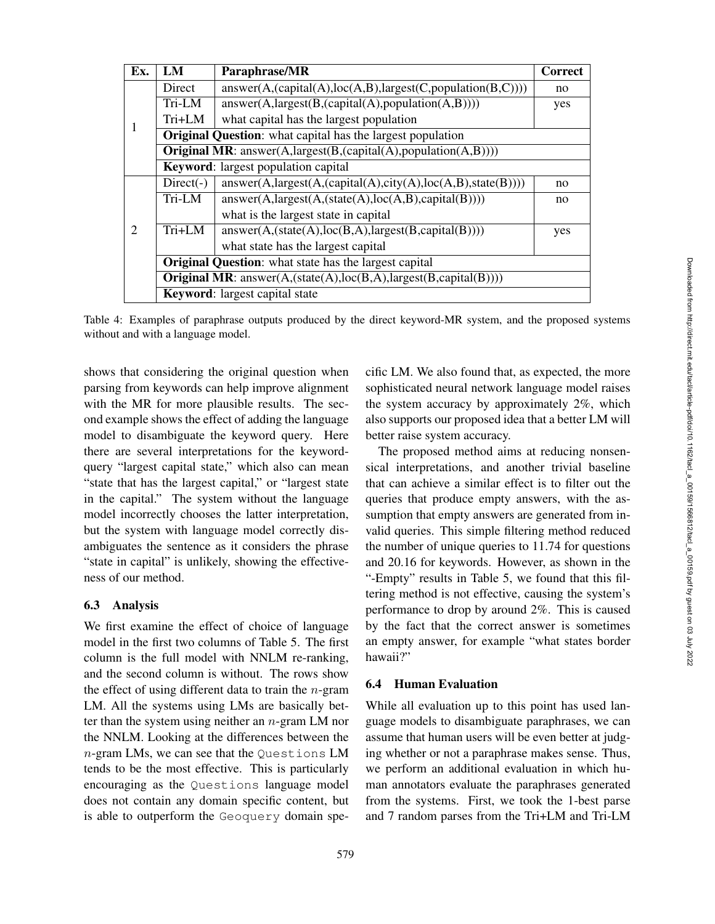| Ex.            | LM                                                                              | Paraphrase/MR                                                      | <b>Correct</b> |  |  |  |  |
|----------------|---------------------------------------------------------------------------------|--------------------------------------------------------------------|----------------|--|--|--|--|
|                | Direct                                                                          | $answer(A, (capital(A), loc(A, B), largest(C, population(B, C))))$ |                |  |  |  |  |
|                | Tri-LM                                                                          | $answer(A, largest(B, (capital(A), population(A,B))))$             |                |  |  |  |  |
| T              | Tri+LM                                                                          | what capital has the largest population                            |                |  |  |  |  |
|                |                                                                                 | <b>Original Question:</b> what capital has the largest population  |                |  |  |  |  |
|                | <b>Original MR</b> : answer(A,largest(B,(capital(A),population(A,B))))          |                                                                    |                |  |  |  |  |
|                |                                                                                 | <b>Keyword:</b> largest population capital                         |                |  |  |  |  |
|                | $Direct(-)$                                                                     | $answer(A, largest(A, (capital(A), city(A), loc(A,B), state(B))))$ | no             |  |  |  |  |
|                | Tri-LM                                                                          | $answer(A, largest(A, (state(A), loc(A, B), capital(B))))$         |                |  |  |  |  |
|                |                                                                                 | what is the largest state in capital                               |                |  |  |  |  |
| $\overline{2}$ | $Tri+LM$                                                                        | $answer(A, (state(A), loc(B, A), largest(B, capital(B))))$         | yes            |  |  |  |  |
|                |                                                                                 | what state has the largest capital                                 |                |  |  |  |  |
|                | <b>Original Question:</b> what state has the largest capital                    |                                                                    |                |  |  |  |  |
|                | <b>Original MR</b> : answer $(A, (state(A), loc(B,A), largest(B, capital(B))))$ |                                                                    |                |  |  |  |  |
|                | <b>Keyword:</b> largest capital state                                           |                                                                    |                |  |  |  |  |

Table 4: Examples of paraphrase outputs produced by the direct keyword-MR system, and the proposed systems without and with a language model.

shows that considering the original question when parsing from keywords can help improve alignment with the MR for more plausible results. The second example shows the effect of adding the language model to disambiguate the keyword query. Here there are several interpretations for the keywordquery "largest capital state," which also can mean "state that has the largest capital," or "largest state in the capital." The system without the language model incorrectly chooses the latter interpretation, but the system with language model correctly disambiguates the sentence as it considers the phrase "state in capital" is unlikely, showing the effectiveness of our method.

#### 6.3 Analysis

We first examine the effect of choice of language model in the first two columns of Table 5. The first column is the full model with NNLM re-ranking, and the second column is without. The rows show the effect of using different data to train the  $n$ -gram LM. All the systems using LMs are basically better than the system using neither an  $n$ -gram LM nor the NNLM. Looking at the differences between the n-gram LMs, we can see that the Questions LM tends to be the most effective. This is particularly encouraging as the Questions language model does not contain any domain specific content, but is able to outperform the Geoquery domain specific LM. We also found that, as expected, the more sophisticated neural network language model raises the system accuracy by approximately 2%, which also supports our proposed idea that a better LM will better raise system accuracy.

The proposed method aims at reducing nonsensical interpretations, and another trivial baseline that can achieve a similar effect is to filter out the queries that produce empty answers, with the assumption that empty answers are generated from invalid queries. This simple filtering method reduced the number of unique queries to 11.74 for questions and 20.16 for keywords. However, as shown in the "-Empty" results in Table 5, we found that this filtering method is not effective, causing the system's performance to drop by around 2%. This is caused by the fact that the correct answer is sometimes an empty answer, for example "what states border hawaii?"

#### 6.4 Human Evaluation

While all evaluation up to this point has used language models to disambiguate paraphrases, we can assume that human users will be even better at judging whether or not a paraphrase makes sense. Thus, we perform an additional evaluation in which human annotators evaluate the paraphrases generated from the systems. First, we took the 1-best parse and 7 random parses from the Tri+LM and Tri-LM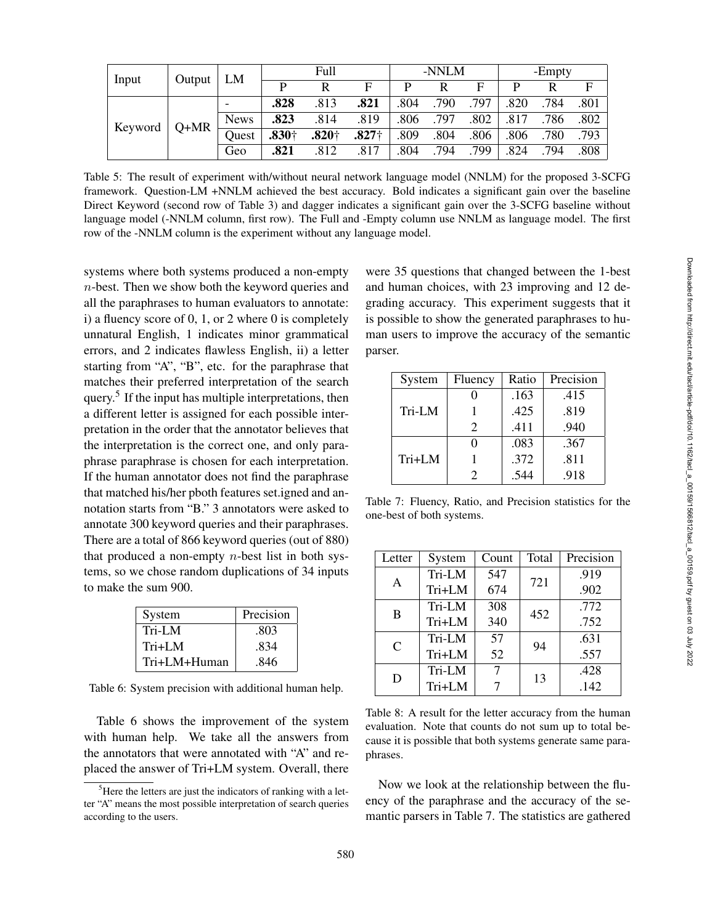| Output<br>Input |        | LM          | Full    |          | -NNLM   |      |      | -Empty |      |      |      |
|-----------------|--------|-------------|---------|----------|---------|------|------|--------|------|------|------|
|                 |        |             | Þ       | R        | F       | P    | R    | E      |      |      | F    |
| Keyword         | $Q+MR$ |             | .828    | .813     | .821    | .804 | .790 | .797   | .820 | .784 | .801 |
|                 |        | <b>News</b> | .823    | .814     | .819    | .806 | .797 | .802   | .817 | .786 | .802 |
|                 |        | Ouest       | $.830+$ | $.820 +$ | $.827+$ | .809 | .804 | .806   | .806 | .780 | .793 |
|                 |        | Geo         | .821    | .812     | .817    | .804 | .794 | 799    | .824 | 794  | .808 |

Table 5: The result of experiment with/without neural network language model (NNLM) for the proposed 3-SCFG framework. Question-LM +NNLM achieved the best accuracy. Bold indicates a significant gain over the baseline Direct Keyword (second row of Table 3) and dagger indicates a significant gain over the 3-SCFG baseline without language model (-NNLM column, first row). The Full and -Empty column use NNLM as language model. The first row of the -NNLM column is the experiment without any language model.

systems where both systems produced a non-empty n-best. Then we show both the keyword queries and all the paraphrases to human evaluators to annotate: i) a fluency score of  $0, 1,$  or  $2$  where  $0$  is completely unnatural English, 1 indicates minor grammatical errors, and 2 indicates flawless English, ii) a letter starting from "A", "B", etc. for the paraphrase that matches their preferred interpretation of the search query.<sup>5</sup> If the input has multiple interpretations, then a different letter is assigned for each possible interpretation in the order that the annotator believes that the interpretation is the correct one, and only paraphrase paraphrase is chosen for each interpretation. If the human annotator does not find the paraphrase that matched his/her pboth features set.igned and annotation starts from "B." 3 annotators were asked to annotate 300 keyword queries and their paraphrases. There are a total of 866 keyword queries (out of 880) that produced a non-empty  $n$ -best list in both systems, so we chose random duplications of 34 inputs to make the sum 900.

| System       | Precision |
|--------------|-----------|
| Tri-LM       | .803      |
| Tri+LM       | .834      |
| Tri+LM+Human | .846      |

Table 6: System precision with additional human help.

Table 6 shows the improvement of the system with human help. We take all the answers from the annotators that were annotated with "A" and replaced the answer of Tri+LM system. Overall, there

were 35 questions that changed between the 1-best and human choices, with 23 improving and 12 degrading accuracy. This experiment suggests that it is possible to show the generated paraphrases to human users to improve the accuracy of the semantic parser.

| System | Fluency                     | Ratio | Precision |
|--------|-----------------------------|-------|-----------|
|        |                             | .163  | .415      |
| Tri-LM |                             | .425  | .819      |
|        | $\mathcal{D}_{\mathcal{L}}$ | .411  | .940      |
|        |                             | .083  | .367      |
| Tri+LM |                             | .372  | .811      |
|        |                             | -544  | .918      |

Table 7: Fluency, Ratio, and Precision statistics for the one-best of both systems.

| Letter        | System | Count | Total | Precision |
|---------------|--------|-------|-------|-----------|
| A             | Tri-LM | 547   | 721   | .919      |
|               | Tri+LM | 674   |       | .902      |
| B             | Tri-LM | 308   | 452   | .772      |
|               | Tri+LM | 340   |       | .752      |
| $\mathcal{C}$ | Tri-LM | 57    | 94    | .631      |
|               | Tri+LM | 52    |       | .557      |
| D             | Tri-LM | 7     | 13    | .428      |
|               | Tri+LM |       |       | .142      |

Table 8: A result for the letter accuracy from the human evaluation. Note that counts do not sum up to total because it is possible that both systems generate same paraphrases.

Now we look at the relationship between the fluency of the paraphrase and the accuracy of the semantic parsers in Table 7. The statistics are gathered

 ${}^{5}$ Here the letters are just the indicators of ranking with a letter "A" means the most possible interpretation of search queries according to the users.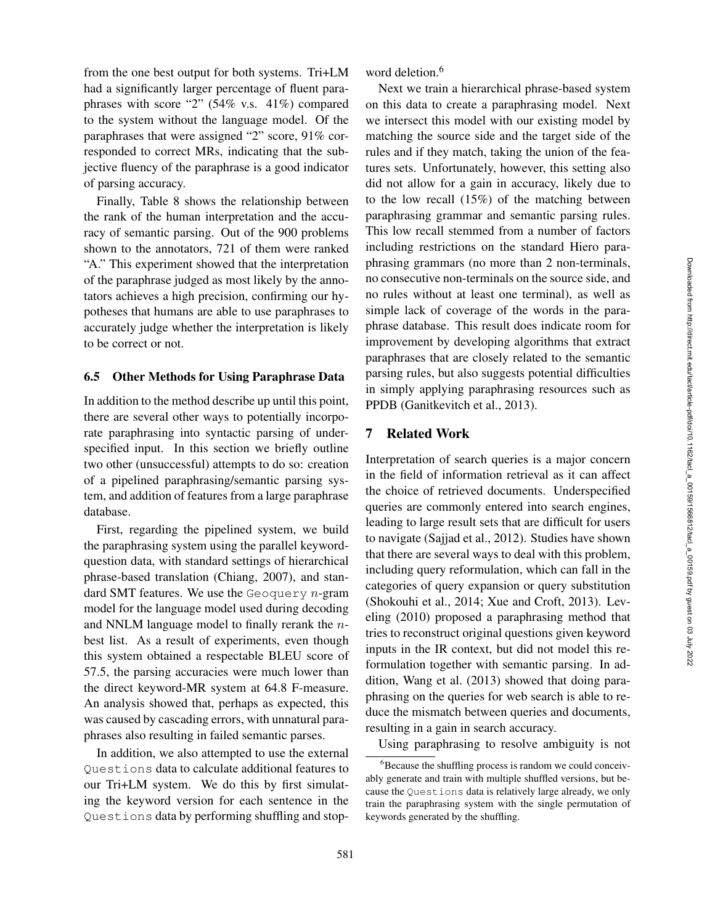from the one best output for both systems. Tri+LM had a significantly larger percentage of fluent paraphrases with score "2" (54% v.s. 41%) compared to the system without the language model. Of the paraphrases that were assigned "2" score, 91% corresponded to correct MRs, indicating that the subjective fluency of the paraphrase is a good indicator of parsing accuracy.

Finally, Table 8 shows the relationship between the rank of the human interpretation and the accuracy of semantic parsing. Out of the 900 problems shown to the annotators, 721 of them were ranked "A." This experiment showed that the interpretation of the paraphrase judged as most likely by the annotators achieves a high precision, confirming our hypotheses that humans are able to use paraphrases to accurately judge whether the interpretation is likely to be correct or not.

#### 6.5 Other Methods for Using Paraphrase Data

In addition to the method describe up until this point, there are several other ways to potentially incorporate paraphrasing into syntactic parsing of underspecified input. In this section we briefly outline two other (unsuccessful) attempts to do so: creation of a pipelined paraphrasing/semantic parsing system, and addition of features from a large paraphrase database.

First, regarding the pipelined system, we build the paraphrasing system using the parallel keywordquestion data, with standard settings of hierarchical phrase-based translation (Chiang, 2007), and standard SMT features. We use the Geoquery  $n$ -gram model for the language model used during decoding and NNLM language model to finally rerank the  $n$ best list. As a result of experiments, even though this system obtained a respectable BLEU score of 57.5, the parsing accuracies were much lower than the direct keyword-MR system at 64.8 F-measure. An analysis showed that, perhaps as expected, this was caused by cascading errors, with unnatural paraphrases also resulting in failed semantic parses.

In addition, we also attempted to use the external Questions data to calculate additional features to our Tri+LM system. We do this by first simulating the keyword version for each sentence in the Questions data by performing shuffling and stopword deletion. 6

Next we train a hierarchical phrase-based system on this data to create a paraphrasing model. Next we intersect this model with our existing model by matching the source side and the target side of the rules and if they match, taking the union of the features sets. Unfortunately, however, this setting also did not allow for a gain in accuracy, likely due to to the low recall (15%) of the matching between paraphrasing grammar and semantic parsing rules. This low recall stemmed from a number of factors including restrictions on the standard Hiero paraphrasing grammars (no more than 2 non-terminals, no consecutive non-terminals on the source side, and no rules without at least one terminal), as well as simple lack of coverage of the words in the paraphrase database. This result does indicate room for improvement by developing algorithms that extract paraphrases that are closely related to the semantic parsing rules, but also suggests potential difficulties in simply applying paraphrasing resources such as PPDB (Ganitkevitch et al., 2013).

#### 7 Related Work

Interpretation of search queries is a major concern in the field of information retrieval as it can affect the choice of retrieved documents. Underspecified queries are commonly entered into search engines, leading to large result sets that are difficult for users to navigate (Sajjad et al., 2012). Studies have shown that there are several ways to deal with this problem, including query reformulation, which can fall in the categories of query expansion or query substitution (Shokouhi et al., 2014; Xue and Croft, 2013). Leveling (2010) proposed a paraphrasing method that tries to reconstruct original questions given keyword inputs in the IR context, but did not model this reformulation together with semantic parsing. In addition, Wang et al. (2013) showed that doing paraphrasing on the queries for web search is able to reduce the mismatch between queries and documents, resulting in a gain in search accuracy.

Using paraphrasing to resolve ambiguity is not

<sup>&</sup>lt;sup>6</sup>Because the shuffling process is random we could conceivably generate and train with multiple shuffled versions, but because the Questions data is relatively large already, we only train the paraphrasing system with the single permutation of keywords generated by the shuffling.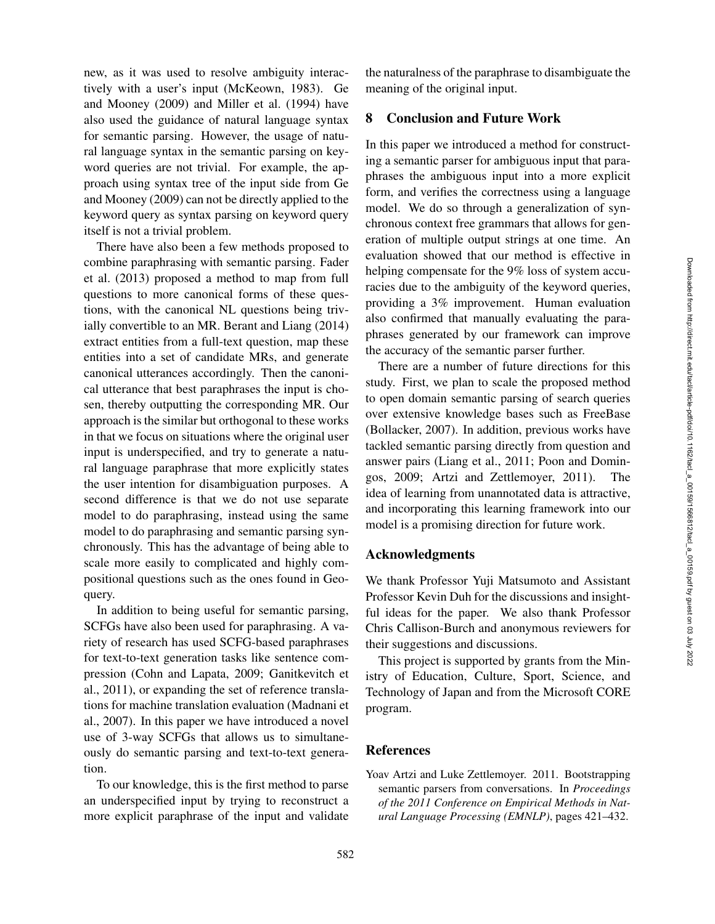new, as it was used to resolve ambiguity interactively with a user's input (McKeown, 1983). Ge and Mooney (2009) and Miller et al. (1994) have also used the guidance of natural language syntax for semantic parsing. However, the usage of natural language syntax in the semantic parsing on keyword queries are not trivial. For example, the approach using syntax tree of the input side from Ge and Mooney (2009) can not be directly applied to the keyword query as syntax parsing on keyword query itself is not a trivial problem.

There have also been a few methods proposed to combine paraphrasing with semantic parsing. Fader et al. (2013) proposed a method to map from full questions to more canonical forms of these questions, with the canonical NL questions being trivially convertible to an MR. Berant and Liang (2014) extract entities from a full-text question, map these entities into a set of candidate MRs, and generate canonical utterances accordingly. Then the canonical utterance that best paraphrases the input is chosen, thereby outputting the corresponding MR. Our approach is the similar but orthogonal to these works in that we focus on situations where the original user input is underspecified, and try to generate a natural language paraphrase that more explicitly states the user intention for disambiguation purposes. A second difference is that we do not use separate model to do paraphrasing, instead using the same model to do paraphrasing and semantic parsing synchronously. This has the advantage of being able to scale more easily to complicated and highly compositional questions such as the ones found in Geoquery.

In addition to being useful for semantic parsing, SCFGs have also been used for paraphrasing. A variety of research has used SCFG-based paraphrases for text-to-text generation tasks like sentence compression (Cohn and Lapata, 2009; Ganitkevitch et al., 2011), or expanding the set of reference translations for machine translation evaluation (Madnani et al., 2007). In this paper we have introduced a novel use of 3-way SCFGs that allows us to simultaneously do semantic parsing and text-to-text generation.

To our knowledge, this is the first method to parse an underspecified input by trying to reconstruct a more explicit paraphrase of the input and validate the naturalness of the paraphrase to disambiguate the meaning of the original input.

## 8 Conclusion and Future Work

In this paper we introduced a method for constructing a semantic parser for ambiguous input that paraphrases the ambiguous input into a more explicit form, and verifies the correctness using a language model. We do so through a generalization of synchronous context free grammars that allows for generation of multiple output strings at one time. An evaluation showed that our method is effective in helping compensate for the 9% loss of system accuracies due to the ambiguity of the keyword queries, providing a 3% improvement. Human evaluation also confirmed that manually evaluating the paraphrases generated by our framework can improve the accuracy of the semantic parser further.

There are a number of future directions for this study. First, we plan to scale the proposed method to open domain semantic parsing of search queries over extensive knowledge bases such as FreeBase (Bollacker, 2007). In addition, previous works have tackled semantic parsing directly from question and answer pairs (Liang et al., 2011; Poon and Domingos, 2009; Artzi and Zettlemoyer, 2011). The idea of learning from unannotated data is attractive, and incorporating this learning framework into our model is a promising direction for future work.

#### Acknowledgments

We thank Professor Yuji Matsumoto and Assistant Professor Kevin Duh for the discussions and insightful ideas for the paper. We also thank Professor Chris Callison-Burch and anonymous reviewers for their suggestions and discussions.

This project is supported by grants from the Ministry of Education, Culture, Sport, Science, and Technology of Japan and from the Microsoft CORE program.

#### References

Yoav Artzi and Luke Zettlemoyer. 2011. Bootstrapping semantic parsers from conversations. In *Proceedings of the 2011 Conference on Empirical Methods in Natural Language Processing (EMNLP)*, pages 421–432.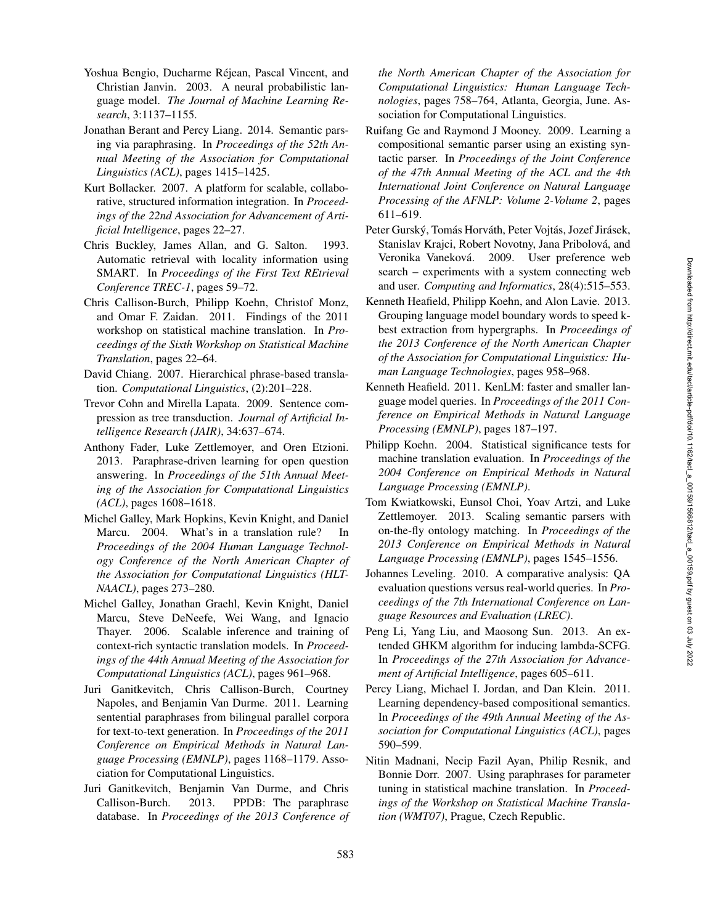- Yoshua Bengio, Ducharme Rejean, Pascal Vincent, and ´ Christian Janvin. 2003. A neural probabilistic language model. *The Journal of Machine Learning Research*, 3:1137–1155.
- Jonathan Berant and Percy Liang. 2014. Semantic parsing via paraphrasing. In *Proceedings of the 52th Annual Meeting of the Association for Computational Linguistics (ACL)*, pages 1415–1425.
- Kurt Bollacker. 2007. A platform for scalable, collaborative, structured information integration. In *Proceedings of the 22nd Association for Advancement of Artificial Intelligence*, pages 22–27.
- Chris Buckley, James Allan, and G. Salton. 1993. Automatic retrieval with locality information using SMART. In *Proceedings of the First Text REtrieval Conference TREC-1*, pages 59–72.
- Chris Callison-Burch, Philipp Koehn, Christof Monz, and Omar F. Zaidan. 2011. Findings of the 2011 workshop on statistical machine translation. In *Proceedings of the Sixth Workshop on Statistical Machine Translation*, pages 22–64.
- David Chiang. 2007. Hierarchical phrase-based translation. *Computational Linguistics*, (2):201–228.
- Trevor Cohn and Mirella Lapata. 2009. Sentence compression as tree transduction. *Journal of Artificial Intelligence Research (JAIR)*, 34:637–674.
- Anthony Fader, Luke Zettlemoyer, and Oren Etzioni. 2013. Paraphrase-driven learning for open question answering. In *Proceedings of the 51th Annual Meeting of the Association for Computational Linguistics (ACL)*, pages 1608–1618.
- Michel Galley, Mark Hopkins, Kevin Knight, and Daniel Marcu. 2004. What's in a translation rule? In *Proceedings of the 2004 Human Language Technology Conference of the North American Chapter of the Association for Computational Linguistics (HLT-NAACL)*, pages 273–280.
- Michel Galley, Jonathan Graehl, Kevin Knight, Daniel Marcu, Steve DeNeefe, Wei Wang, and Ignacio Thayer. 2006. Scalable inference and training of context-rich syntactic translation models. In *Proceedings of the 44th Annual Meeting of the Association for Computational Linguistics (ACL)*, pages 961–968.
- Juri Ganitkevitch, Chris Callison-Burch, Courtney Napoles, and Benjamin Van Durme. 2011. Learning sentential paraphrases from bilingual parallel corpora for text-to-text generation. In *Proceedings of the 2011 Conference on Empirical Methods in Natural Language Processing (EMNLP)*, pages 1168–1179. Association for Computational Linguistics.
- Juri Ganitkevitch, Benjamin Van Durme, and Chris Callison-Burch. 2013. PPDB: The paraphrase database. In *Proceedings of the 2013 Conference of*

*the North American Chapter of the Association for Computational Linguistics: Human Language Technologies*, pages 758–764, Atlanta, Georgia, June. Association for Computational Linguistics.

- Ruifang Ge and Raymond J Mooney. 2009. Learning a compositional semantic parser using an existing syntactic parser. In *Proceedings of the Joint Conference of the 47th Annual Meeting of the ACL and the 4th International Joint Conference on Natural Language Processing of the AFNLP: Volume 2-Volume 2*, pages 611–619.
- Peter Gurský, Tomás Horváth, Peter Vojtás, Jozef Jirásek, Stanislav Krajci, Robert Novotny, Jana Pribolová, and Veronika Vaneková. 2009. User preference web search – experiments with a system connecting web and user. *Computing and Informatics*, 28(4):515–553.
- Kenneth Heafield, Philipp Koehn, and Alon Lavie. 2013. Grouping language model boundary words to speed kbest extraction from hypergraphs. In *Proceedings of the 2013 Conference of the North American Chapter of the Association for Computational Linguistics: Human Language Technologies*, pages 958–968.
- Kenneth Heafield. 2011. KenLM: faster and smaller language model queries. In *Proceedings of the 2011 Conference on Empirical Methods in Natural Language Processing (EMNLP)*, pages 187–197.
- Philipp Koehn. 2004. Statistical significance tests for machine translation evaluation. In *Proceedings of the 2004 Conference on Empirical Methods in Natural Language Processing (EMNLP)* .
- Tom Kwiatkowski, Eunsol Choi, Yoav Artzi, and Luke Zettlemoyer. 2013. Scaling semantic parsers with on-the-fly ontology matching. In *Proceedings of the 2013 Conference on Empirical Methods in Natural Language Processing (EMNLP)*, pages 1545–1556.
- Johannes Leveling. 2010. A comparative analysis: QA evaluation questions versus real-world queries. In *Proceedings of the 7th International Conference on Language Resources and Evaluation (LREC)*.
- Peng Li, Yang Liu, and Maosong Sun. 2013. An extended GHKM algorithm for inducing lambda-SCFG. In *Proceedings of the 27th Association for Advancement of Artificial Intelligence*, pages 605–611.
- Percy Liang, Michael I. Jordan, and Dan Klein. 2011. Learning dependency-based compositional semantics. In *Proceedings of the 49th Annual Meeting of the Association for Computational Linguistics (ACL)*, pages 590–599.
- Nitin Madnani, Necip Fazil Ayan, Philip Resnik, and Bonnie Dorr. 2007. Using paraphrases for parameter tuning in statistical machine translation. In *Proceedings of the Workshop on Statistical Machine Translation (WMT07)*, Prague, Czech Republic.